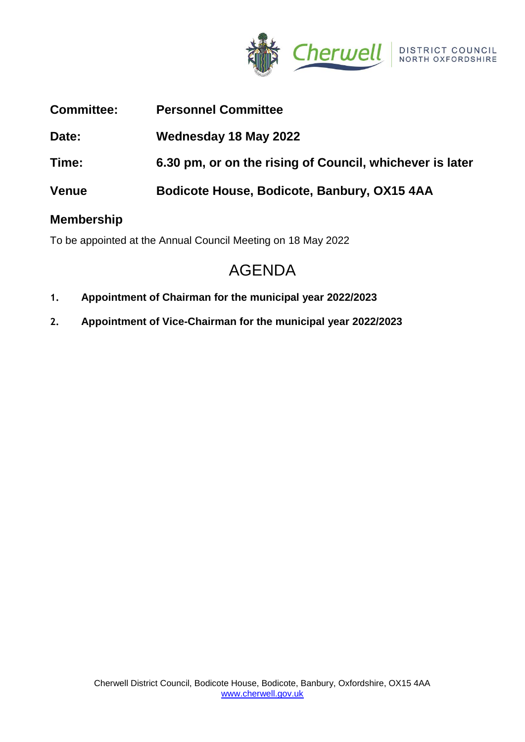

| <b>Committee:</b> | <b>Personnel Committee</b>                               |
|-------------------|----------------------------------------------------------|
| Date:             | Wednesday 18 May 2022                                    |
| Time:             | 6.30 pm, or on the rising of Council, whichever is later |
| <b>Venue</b>      | Bodicote House, Bodicote, Banbury, OX15 4AA              |

## **Membership**

To be appointed at the Annual Council Meeting on 18 May 2022

# AGENDA

- **1. Appointment of Chairman for the municipal year 2022/2023**
- **2. Appointment of Vice-Chairman for the municipal year 2022/2023**